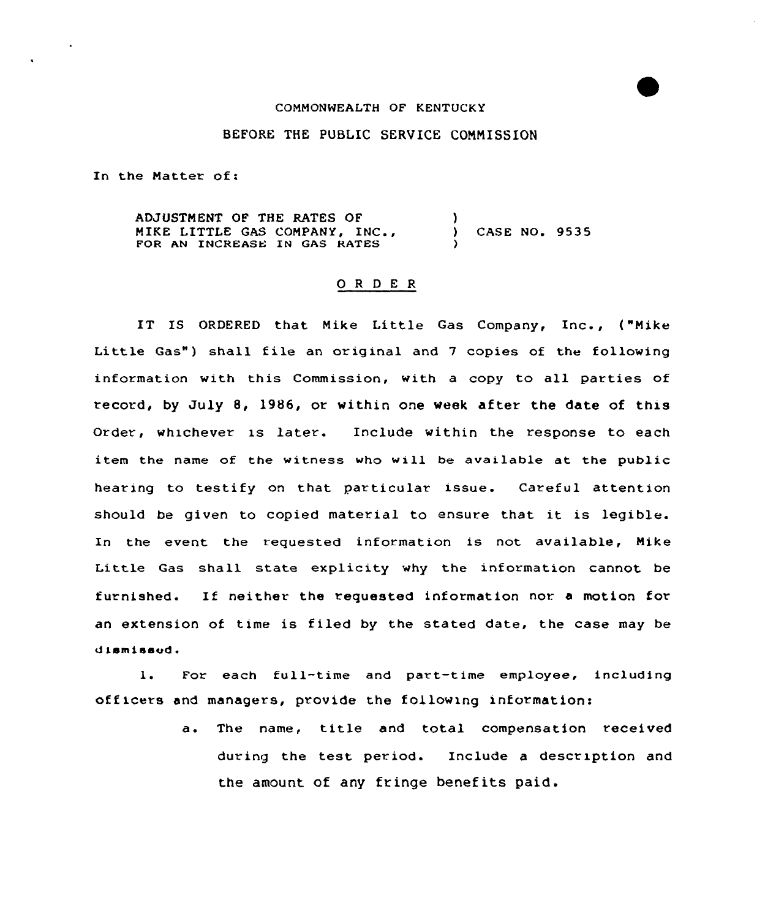## COMMONWEALTH OF KENTUCKY

## BEFORE THE PUBLIC SERVICE COMMISSION

In the Natter of:

ADJUSTNENT OF THE RATES OF MIKE LITTLE GAS COMPANY, INC., FOR AN INCREASE IN GAS RATES ) ) CASE NO. 953 5 )

## 0 <sup>R</sup> <sup>D</sup> <sup>E</sup> <sup>R</sup>

IT IS ORDERED that Nike Little Gas Company, Inc., ("Nike Little Gas") shall file an original and <sup>7</sup> copies of the following information with this Commission, with a copy to all parties of record, by July 8, 1986, or within one week after the date of this Order, whichever is later. Include within the response to each item the name of the witness who will be available at the public hearing to testify on that particular issue. Careful attention should be given to copied material to ensure that it is legible. In the event the requested information is not available, Nike Little Gas shall state explicity why the information cannot be turnished. If neither the requested information nor. <sup>a</sup> motion for an extension of time is filed by the stated date, the case may be dismissed <sup>~</sup>

1. For each full-time and part-time employee, including officers and managers, provide the following information:

> a. The name, title and total compensation received during the test period. Include <sup>a</sup> descrIption and the amount of any fringe benefits paid.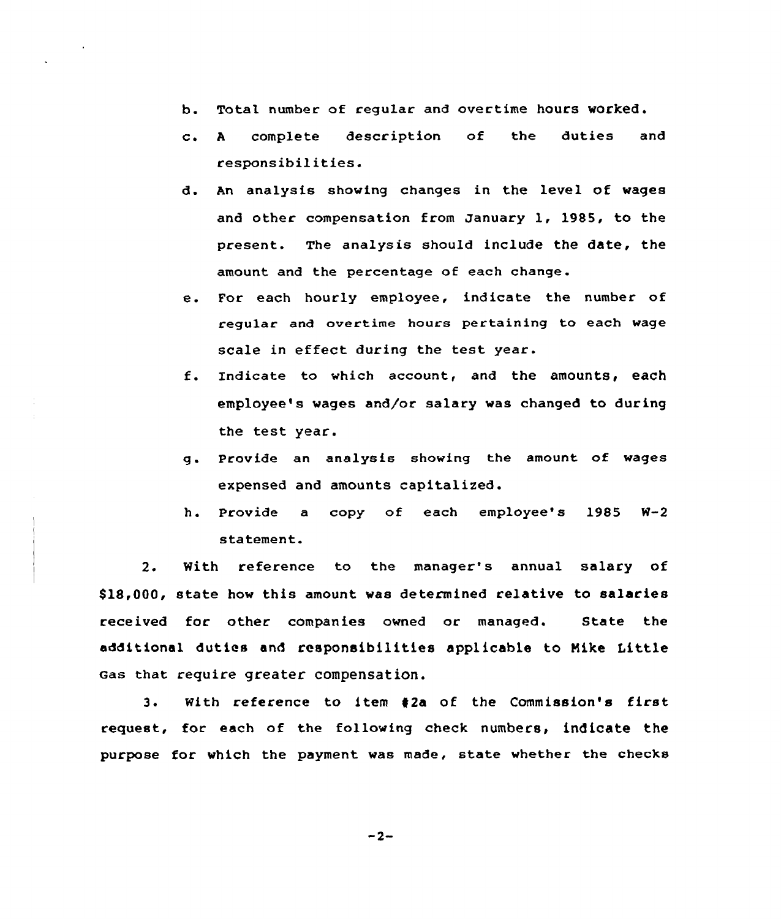- b. Total number of regular and overtime hours worked.
- c. <sup>A</sup> complete description of the duties and responsibilities.
- d. An analysis showing changes in the level of wages and other compensation from January 1, 1985, to the present. The analysis should include the date, the amount and the percentage of each change.
- e. For each hourly employee, indicate the number of regular and overtime hours pertaining to each wage scale in effect during the test year.
- f. Indicate to which account, and the amounts, each employee's wages and/or salary was changed to during the test year.
- g. Provide an analysis showing the amount of wages expensed and amounts capitalized.
- h. Provide a copy of each employee's 1985 W-2 statement.

2. With reference to the manager's annual salary of \$18,000, state how this amount was determined relative to salaries received for other companies owned or managed. State the additional duties and responsibilities applicable to Mike Little Gas that require greater compensation.

3. With reference to item 42a of the Commission's first request, for each of the following check numbers, indicate the purpose for which the payment was made, state whether the checks

$$
-2-
$$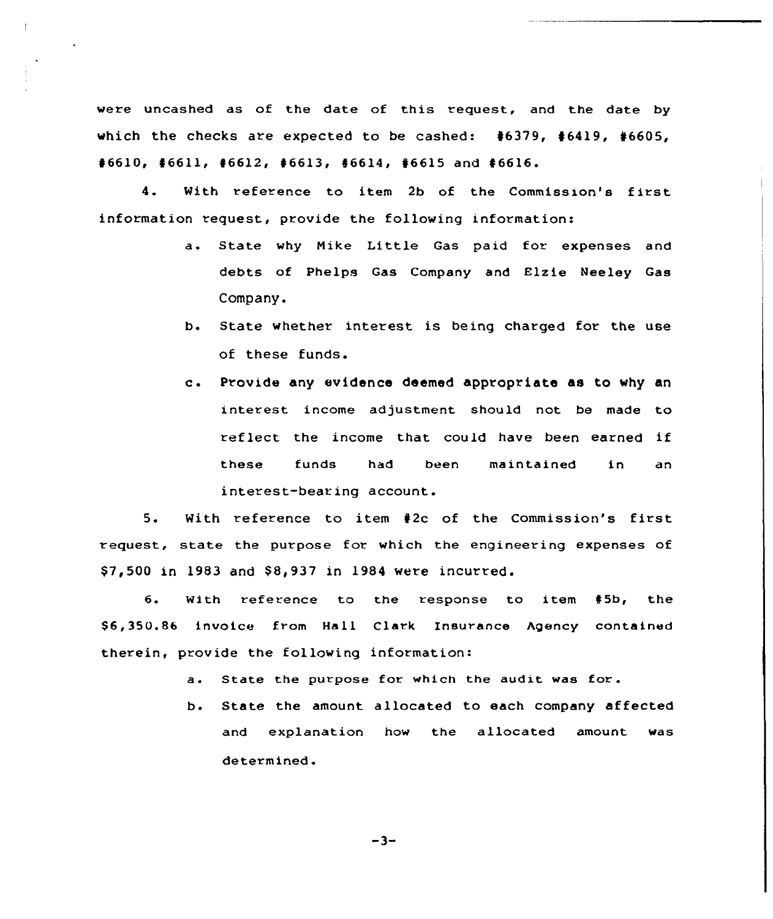vere uncashed as of the date of this request, and the date by which the checks are expected to be cashed: 46379, 46419, 46605,  $#6610, #6611, #6612, #6613, #6614, #6615 and #6616.$ 

4. With reference to item 2b of the Commission's first information request, provide the folloving information:

- a. State vhy Hike Little Gas paid for expenses and debts of Phelps Gas Company and Elzie Neeley Gas Company.
- b. State vhether interest is being charged for the use of these funds.
- c. Provide any evidence deemed appropriate as to why an interest income adjustment should not be made to reflect the income that could have been earned if these funds had been maintained in an interest-bearing account.

5. With reference to item #2c of the Commission's first request, state the purpose for which the engineering expenses of \$7,500 in 1983 and \$ 8,937 in 1984 were incurred.

6. With reference to the response to item #5b, the \$ 6,350.86 invoice from Hall Clark Insurance Agency contained therein, provide the following information:

- a. State the purpose for which the audit vas for .
- b. State the amount allocated to each company affected and explanation hov the allocated amount vas determined.

 $-3-$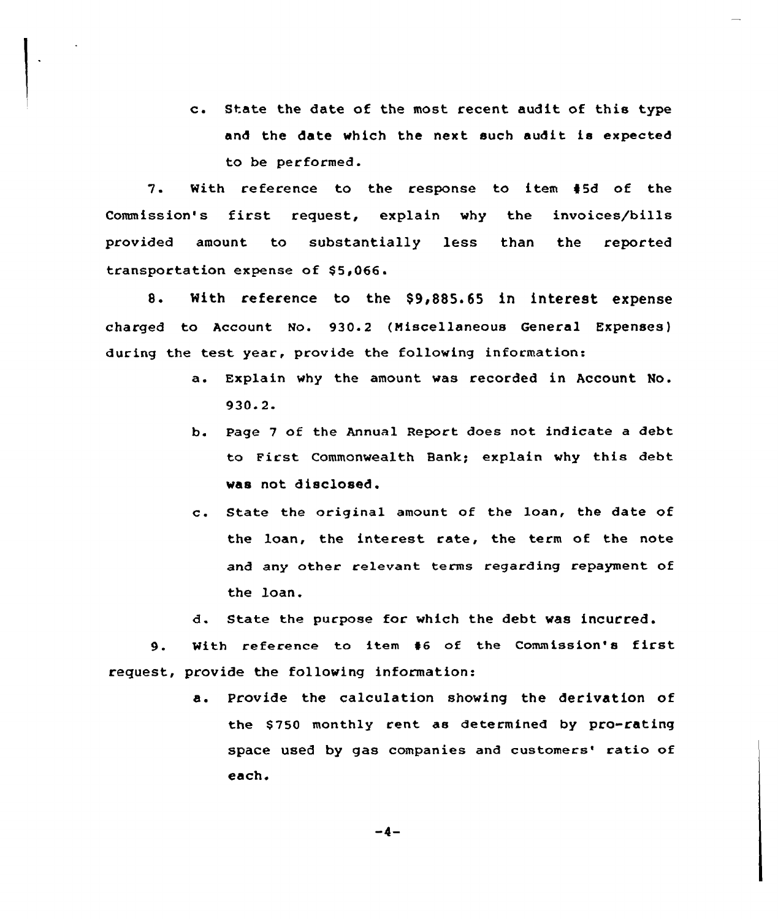c. State the date of the most recent audit of this type and the date which the next such audit is expected to be performed.

7. With reference to the response to item 45d of the Commission's first request, explain why the invoices/bills provided amount to substantially less than the reported transportation expense of \$5,066.

8. With reference to the \$9 885.65 in interest expense charged to Account No. 930.<sup>2</sup> (Niscellaneous General Expenses) during the test year, provide the following information:

- a. Explain why the amount was recorded in Account No. 930.2.
- b. Page <sup>7</sup> of the Annual Report does not indicate a debt to First Commonwealth Bank; explain why this debt was not disclosed.
- c. State the original amount of the loan, the date of the loan, the interest rate, the term of the note and any other relevant terms regarding repayment of the loan.

d. State the purpose for which the debt was incurred.

9. With reference ta item <sup>46</sup> of the Commission's first request, provide the following information:

> a. Provide the calculation showing the derivation of the \$750 monthly rent as determined by pro-rating space used by gas companies and customers' ratio of each.

> > $-4-$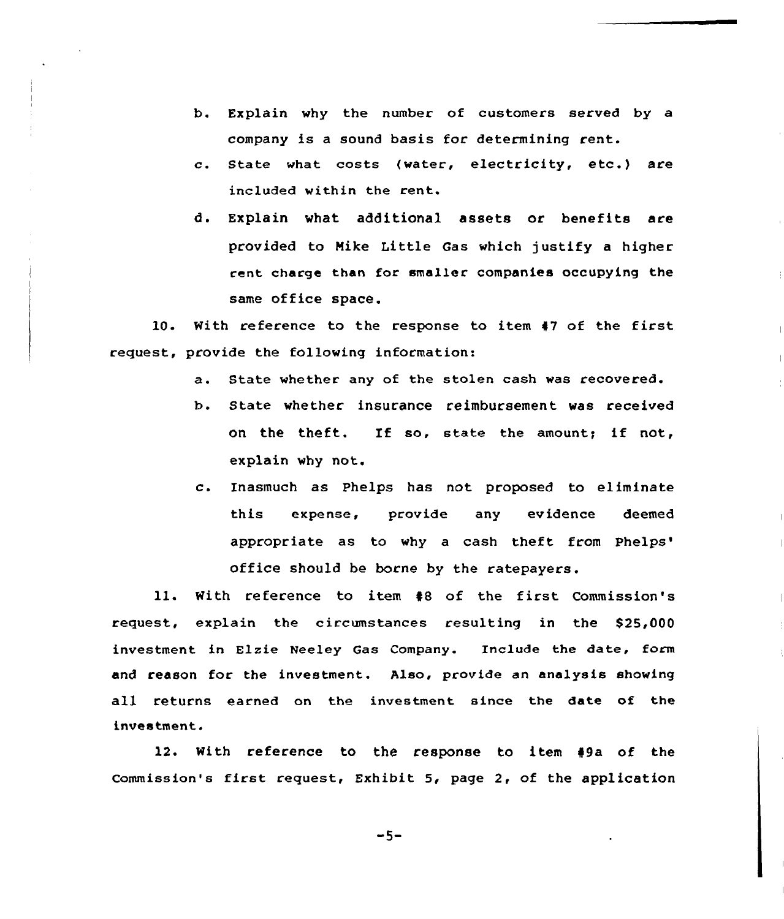- b. Explain why the number of customers served by a company is a sound basis for determining rent.
- c. State what costs (water, electricity, etc.) are included within the rent.
- d. Explain what additional assets or benefits are provided to Mike Little Gas which justify a highec rent charge than for smeller companies occupying the same office space.

10. With reference to the response to item <sup>47</sup> of the first request, pcovide the following information:

- a. State whether any of the stolen cash was recovered.
- b. State whethec insurance reimbursement was received on the theft. If so, state the amount; if not, explain why not.
- c. Inasmuch as Phelps has not proposed to eliminate this expense, provide any evidence deemed appropriate as to why a cash theft from office should be borne by the ratepayers.

ll. With reference to item <sup>48</sup> of the first Commission's request, explain the circumstances resulting in the \$25,000 investment in Elzie Neeley Gas Company. Include the date, form and reason for the investment. Also, provide an analysis showing all returns earned on the investment since the date of the investment.

12. With reference to the response to item 49a of the commission's first request, Exhibit 5, page 2, of the application

 $-5-$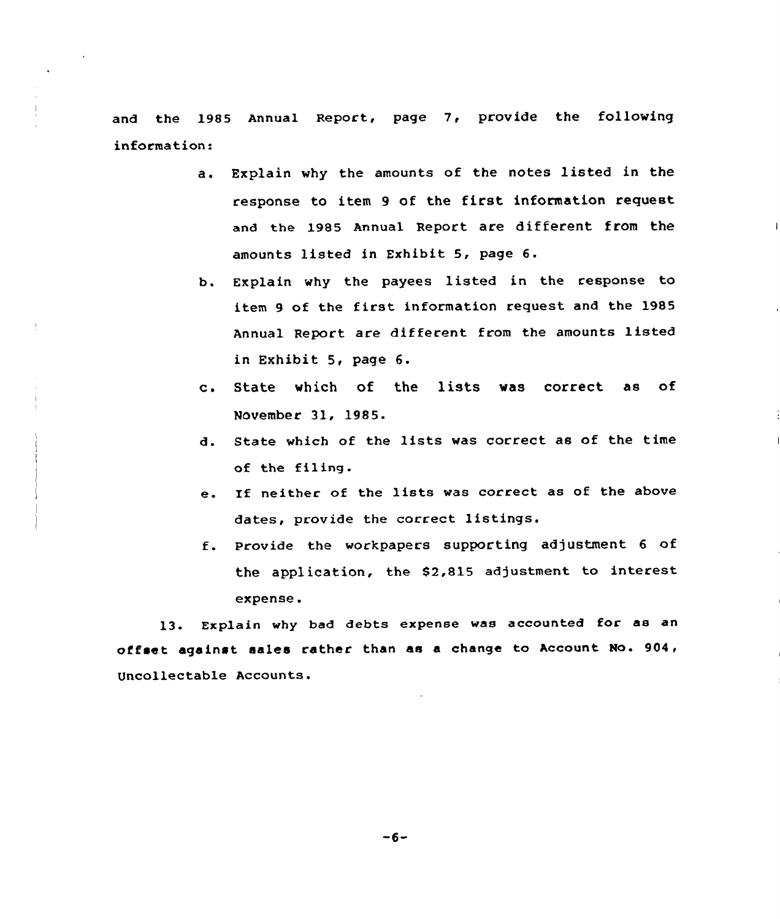and the 1985 Annual Report, page 7, provide the following information:

- a. Explain why the amounts of the notes listed in the response to item <sup>9</sup> of the first information request and the 1985 Annual Report are different from the amounts listed in Exhibit 5, page 6.
- b. Explain why the payees listed in the response to item 9 of the first information request and the 1985 Annual Report are different from the amounts listed in Exhibit 5, page 6.
- c. State which of the lists was correct as of November 31, 1985.
- d. State which of the lists was correct as of the time of the filing.
- e. If neither of the lists was correct as of the above dates, provide the correct listings.
- f. Provide the workpapers supporting adjustment <sup>6</sup> of the application, the 82,815 adjustment to interest expense.

13. Explain why bad debts expense was accounted for as an offset against sales rather than as <sup>a</sup> change to Account No. 904, Uncollectable Accounts.

 $-6-$